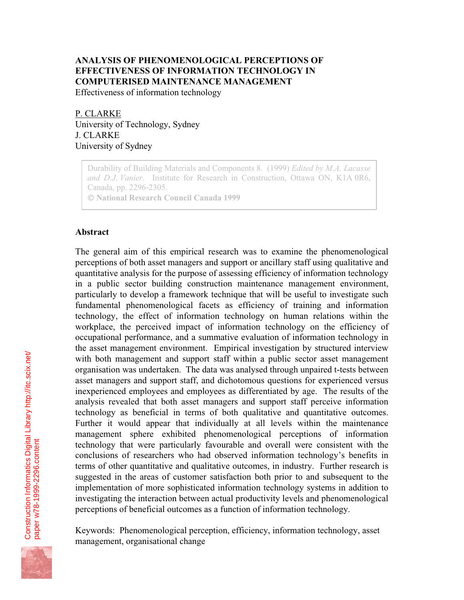# **ANALYSIS OF PHENOMENOLOGICAL PERCEPTIONS OF EFFECTIVENESS OF INFORMATION TECHNOLOGY IN COMPUTERISED MAINTENANCE MANAGEMENT**

Effectiveness of information technology

P. CLARKE University of Technology, Sydney J. CLARKE University of Sydney

Durability of Building Materials and Components 8. (1999) *Edited by M.A. Lacasse and D.J. Vanier*. Institute for Research in Construction, Ottawa ON, K1A 0R6, Canada, pp. 2296-2305.

 **National Research Council Canada 1999**

### **Abstract**

The general aim of this empirical research was to examine the phenomenological perceptions of both asset managers and support or ancillary staff using qualitative and quantitative analysis for the purpose of assessing efficiency of information technology in a public sector building construction maintenance management environment, particularly to develop a framework technique that will be useful to investigate such fundamental phenomenological facets as efficiency of training and information technology, the effect of information technology on human relations within the workplace, the perceived impact of information technology on the efficiency of occupational performance, and a summative evaluation of information technology in the asset management environment. Empirical investigation by structured interview with both management and support staff within a public sector asset management organisation was undertaken. The data was analysed through unpaired t-tests between asset managers and support staff, and dichotomous questions for experienced versus inexperienced employees and employees as differentiated by age. The results of the analysis revealed that both asset managers and support staff perceive information technology as beneficial in terms of both qualitative and quantitative outcomes. Further it would appear that individually at all levels within the maintenance management sphere exhibited phenomenological perceptions of information technology that were particularly favourable and overall were consistent with the conclusions of researchers who had observed information technology's benefits in terms of other quantitative and qualitative outcomes, in industry. Further research is suggested in the areas of customer satisfaction both prior to and subsequent to the implementation of more sophisticated information technology systems in addition to investigating the interaction between actual productivity levels and phenomenological perceptions of beneficial outcomes as a function of information technology.

Keywords: Phenomenological perception, efficiency, information technology, asset management, organisational change

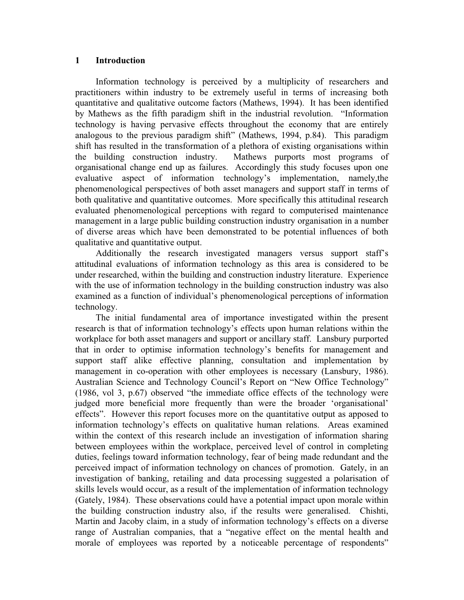### **1 Introduction**

Information technology is perceived by a multiplicity of researchers and practitioners within industry to be extremely useful in terms of increasing both quantitative and qualitative outcome factors (Mathews, 1994). It has been identified by Mathews as the fifth paradigm shift in the industrial revolution. "Information technology is having pervasive effects throughout the economy that are entirely analogous to the previous paradigm shift" (Mathews, 1994, p.84). This paradigm shift has resulted in the transformation of a plethora of existing organisations within the building construction industry. Mathews purports most programs of organisational change end up as failures. Accordingly this study focuses upon one evaluative aspect of information technology's implementation, namely,the phenomenological perspectives of both asset managers and support staff in terms of both qualitative and quantitative outcomes. More specifically this attitudinal research evaluated phenomenological perceptions with regard to computerised maintenance management in a large public building construction industry organisation in a number of diverse areas which have been demonstrated to be potential influences of both qualitative and quantitative output.

Additionally the research investigated managers versus support staff's attitudinal evaluations of information technology as this area is considered to be under researched, within the building and construction industry literature. Experience with the use of information technology in the building construction industry was also examined as a function of individual's phenomenological perceptions of information technology.

The initial fundamental area of importance investigated within the present research is that of information technology's effects upon human relations within the workplace for both asset managers and support or ancillary staff. Lansbury purported that in order to optimise information technology's benefits for management and support staff alike effective planning, consultation and implementation by management in co-operation with other employees is necessary (Lansbury, 1986). Australian Science and Technology Council's Report on "New Office Technology" (1986, vol 3, p.67) observed "the immediate office effects of the technology were judged more beneficial more frequently than were the broader 'organisational' effects". However this report focuses more on the quantitative output as apposed to information technology's effects on qualitative human relations. Areas examined within the context of this research include an investigation of information sharing between employees within the workplace, perceived level of control in completing duties, feelings toward information technology, fear of being made redundant and the perceived impact of information technology on chances of promotion. Gately, in an investigation of banking, retailing and data processing suggested a polarisation of skills levels would occur, as a result of the implementation of information technology (Gately, 1984). These observations could have a potential impact upon morale within the building construction industry also, if the results were generalised. Chishti, Martin and Jacoby claim, in a study of information technology's effects on a diverse range of Australian companies, that a "negative effect on the mental health and morale of employees was reported by a noticeable percentage of respondents"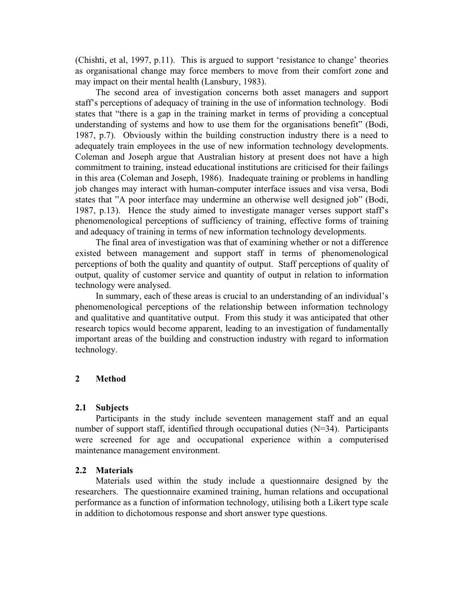(Chishti, et al, 1997, p.11). This is argued to support 'resistance to change' theories as organisational change may force members to move from their comfort zone and may impact on their mental health (Lansbury, 1983).

The second area of investigation concerns both asset managers and support staff's perceptions of adequacy of training in the use of information technology. Bodi states that "there is a gap in the training market in terms of providing a conceptual understanding of systems and how to use them for the organisations benefit" (Bodi, 1987, p.7). Obviously within the building construction industry there is a need to adequately train employees in the use of new information technology developments. Coleman and Joseph argue that Australian history at present does not have a high commitment to training, instead educational institutions are criticised for their failings in this area (Coleman and Joseph, 1986). Inadequate training or problems in handling job changes may interact with human-computer interface issues and visa versa, Bodi states that "A poor interface may undermine an otherwise well designed job" (Bodi, 1987, p.13). Hence the study aimed to investigate manager verses support staff's phenomenological perceptions of sufficiency of training, effective forms of training and adequacy of training in terms of new information technology developments.

The final area of investigation was that of examining whether or not a difference existed between management and support staff in terms of phenomenological perceptions of both the quality and quantity of output. Staff perceptions of quality of output, quality of customer service and quantity of output in relation to information technology were analysed.

In summary, each of these areas is crucial to an understanding of an individual's phenomenological perceptions of the relationship between information technology and qualitative and quantitative output. From this study it was anticipated that other research topics would become apparent, leading to an investigation of fundamentally important areas of the building and construction industry with regard to information technology.

### **2 Method**

### **2.1 Subjects**

Participants in the study include seventeen management staff and an equal number of support staff, identified through occupational duties (N=34). Participants were screened for age and occupational experience within a computerised maintenance management environment.

### **2.2 Materials**

Materials used within the study include a questionnaire designed by the researchers. The questionnaire examined training, human relations and occupational performance as a function of information technology, utilising both a Likert type scale in addition to dichotomous response and short answer type questions.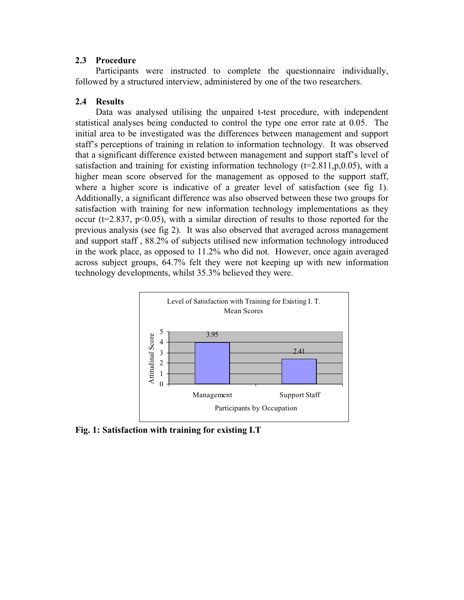### **2.3 Procedure**

Participants were instructed to complete the questionnaire individually, followed by a structured interview, administered by one of the two researchers.

## **2.4 Results**

Data was analysed utilising the unpaired t-test procedure, with independent statistical analyses being conducted to control the type one error rate at 0.05. The initial area to be investigated was the differences between management and support staff's perceptions of training in relation to information technology. It was observed that a significant difference existed between management and support staff's level of satisfaction and training for existing information technology  $(t=2.811,p,0.05)$ , with a higher mean score observed for the management as opposed to the support staff, where a higher score is indicative of a greater level of satisfaction (see fig 1). Additionally, a significant difference was also observed between these two groups for satisfaction with training for new information technology implementations as they occur ( $t=2.837$ ,  $p<0.05$ ), with a similar direction of results to those reported for the previous analysis (see fig 2). It was also observed that averaged across management and support staff , 88.2% of subjects utilised new information technology introduced in the work place, as opposed to 11.2% who did not. However, once again averaged across subject groups, 64.7% felt they were not keeping up with new information technology developments, whilst 35.3% believed they were.



**Fig. 1: Satisfaction with training for existing I.T**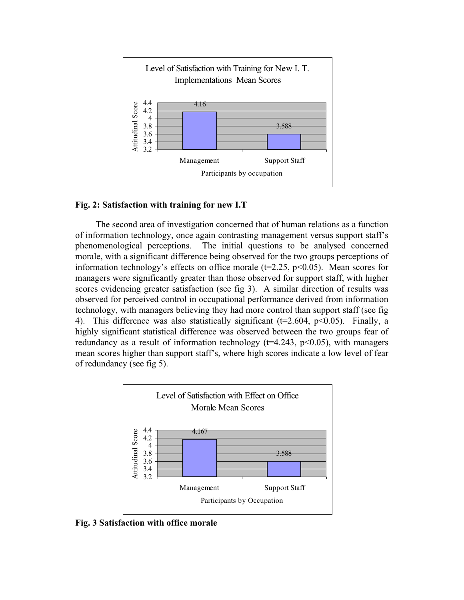

### **Fig. 2: Satisfaction with training for new I.T**

The second area of investigation concerned that of human relations as a function of information technology, once again contrasting management versus support staff's phenomenological perceptions. The initial questions to be analysed concerned morale, with a significant difference being observed for the two groups perceptions of information technology's effects on office morale ( $t=2.25$ ,  $p<0.05$ ). Mean scores for managers were significantly greater than those observed for support staff, with higher scores evidencing greater satisfaction (see fig 3). A similar direction of results was observed for perceived control in occupational performance derived from information technology, with managers believing they had more control than support staff (see fig 4). This difference was also statistically significant ( $t=2.604$ ,  $p<0.05$ ). Finally, a highly significant statistical difference was observed between the two groups fear of redundancy as a result of information technology ( $t=4.243$ ,  $p<0.05$ ), with managers mean scores higher than support staff's, where high scores indicate a low level of fear of redundancy (see fig 5).



**Fig. 3 Satisfaction with office morale**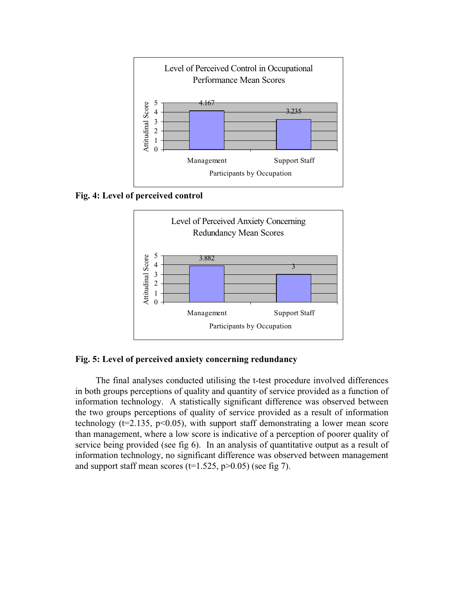

**Fig. 4: Level of perceived control**



**Fig. 5: Level of perceived anxiety concerning redundancy**

The final analyses conducted utilising the t-test procedure involved differences in both groups perceptions of quality and quantity of service provided as a function of information technology. A statistically significant difference was observed between the two groups perceptions of quality of service provided as a result of information technology ( $t=2.135$ ,  $p<0.05$ ), with support staff demonstrating a lower mean score than management, where a low score is indicative of a perception of poorer quality of service being provided (see fig 6). In an analysis of quantitative output as a result of information technology, no significant difference was observed between management and support staff mean scores ( $t=1.525$ ,  $p>0.05$ ) (see fig 7).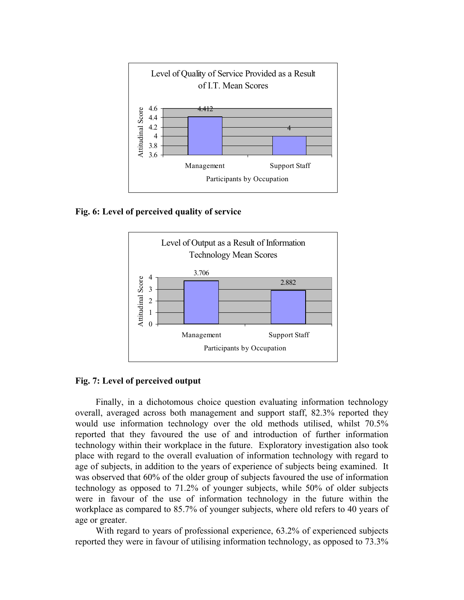

**Fig. 6: Level of perceived quality of service**



### **Fig. 7: Level of perceived output**

Finally, in a dichotomous choice question evaluating information technology overall, averaged across both management and support staff, 82.3% reported they would use information technology over the old methods utilised, whilst 70.5% reported that they favoured the use of and introduction of further information technology within their workplace in the future. Exploratory investigation also took place with regard to the overall evaluation of information technology with regard to age of subjects, in addition to the years of experience of subjects being examined. It was observed that 60% of the older group of subjects favoured the use of information technology as opposed to 71.2% of younger subjects, while 50% of older subjects were in favour of the use of information technology in the future within the workplace as compared to 85.7% of younger subjects, where old refers to 40 years of age or greater.

With regard to years of professional experience, 63.2% of experienced subjects reported they were in favour of utilising information technology, as opposed to 73.3%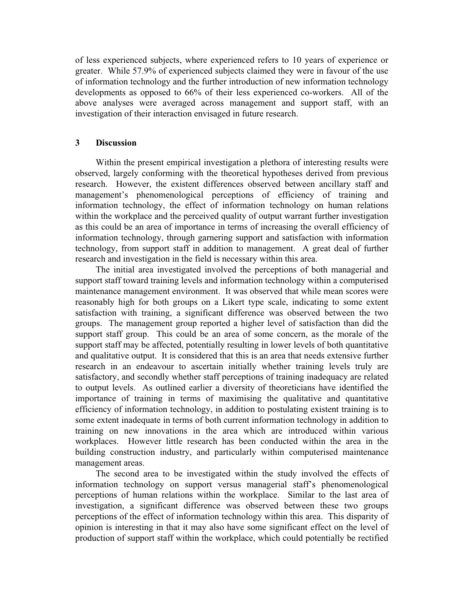of less experienced subjects, where experienced refers to 10 years of experience or greater. While 57.9% of experienced subjects claimed they were in favour of the use of information technology and the further introduction of new information technology developments as opposed to 66% of their less experienced co-workers. All of the above analyses were averaged across management and support staff, with an investigation of their interaction envisaged in future research.

### **3 Discussion**

Within the present empirical investigation a plethora of interesting results were observed, largely conforming with the theoretical hypotheses derived from previous research. However, the existent differences observed between ancillary staff and management's phenomenological perceptions of efficiency of training and information technology, the effect of information technology on human relations within the workplace and the perceived quality of output warrant further investigation as this could be an area of importance in terms of increasing the overall efficiency of information technology, through garnering support and satisfaction with information technology, from support staff in addition to management. A great deal of further research and investigation in the field is necessary within this area.

The initial area investigated involved the perceptions of both managerial and support staff toward training levels and information technology within a computerised maintenance management environment. It was observed that while mean scores were reasonably high for both groups on a Likert type scale, indicating to some extent satisfaction with training, a significant difference was observed between the two groups. The management group reported a higher level of satisfaction than did the support staff group. This could be an area of some concern, as the morale of the support staff may be affected, potentially resulting in lower levels of both quantitative and qualitative output. It is considered that this is an area that needs extensive further research in an endeavour to ascertain initially whether training levels truly are satisfactory, and secondly whether staff perceptions of training inadequacy are related to output levels. As outlined earlier a diversity of theoreticians have identified the importance of training in terms of maximising the qualitative and quantitative efficiency of information technology, in addition to postulating existent training is to some extent inadequate in terms of both current information technology in addition to training on new innovations in the area which are introduced within various workplaces. However little research has been conducted within the area in the building construction industry, and particularly within computerised maintenance management areas.

The second area to be investigated within the study involved the effects of information technology on support versus managerial staff's phenomenological perceptions of human relations within the workplace. Similar to the last area of investigation, a significant difference was observed between these two groups perceptions of the effect of information technology within this area. This disparity of opinion is interesting in that it may also have some significant effect on the level of production of support staff within the workplace, which could potentially be rectified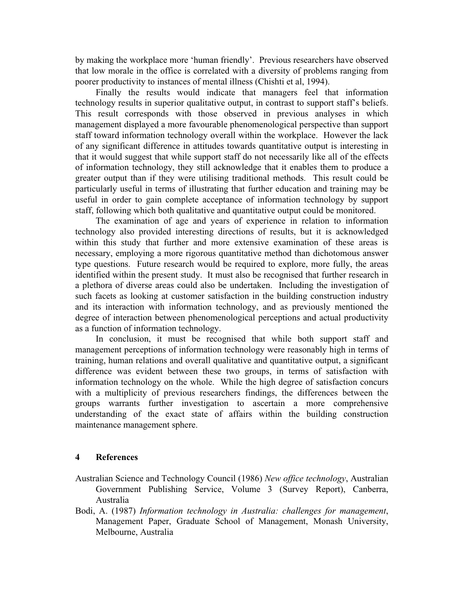by making the workplace more 'human friendly'. Previous researchers have observed that low morale in the office is correlated with a diversity of problems ranging from poorer productivity to instances of mental illness (Chishti et al, 1994).

Finally the results would indicate that managers feel that information technology results in superior qualitative output, in contrast to support staff's beliefs. This result corresponds with those observed in previous analyses in which management displayed a more favourable phenomenological perspective than support staff toward information technology overall within the workplace. However the lack of any significant difference in attitudes towards quantitative output is interesting in that it would suggest that while support staff do not necessarily like all of the effects of information technology, they still acknowledge that it enables them to produce a greater output than if they were utilising traditional methods. This result could be particularly useful in terms of illustrating that further education and training may be useful in order to gain complete acceptance of information technology by support staff, following which both qualitative and quantitative output could be monitored.

The examination of age and years of experience in relation to information technology also provided interesting directions of results, but it is acknowledged within this study that further and more extensive examination of these areas is necessary, employing a more rigorous quantitative method than dichotomous answer type questions. Future research would be required to explore, more fully, the areas identified within the present study. It must also be recognised that further research in a plethora of diverse areas could also be undertaken. Including the investigation of such facets as looking at customer satisfaction in the building construction industry and its interaction with information technology, and as previously mentioned the degree of interaction between phenomenological perceptions and actual productivity as a function of information technology.

In conclusion, it must be recognised that while both support staff and management perceptions of information technology were reasonably high in terms of training, human relations and overall qualitative and quantitative output, a significant difference was evident between these two groups, in terms of satisfaction with information technology on the whole. While the high degree of satisfaction concurs with a multiplicity of previous researchers findings, the differences between the groups warrants further investigation to ascertain a more comprehensive understanding of the exact state of affairs within the building construction maintenance management sphere.

### **4 References**

- Australian Science and Technology Council (1986) *New office technology*, Australian Government Publishing Service, Volume 3 (Survey Report), Canberra, Australia
- Bodi, A. (1987) *Information technology in Australia: challenges for management*, Management Paper, Graduate School of Management, Monash University, Melbourne, Australia